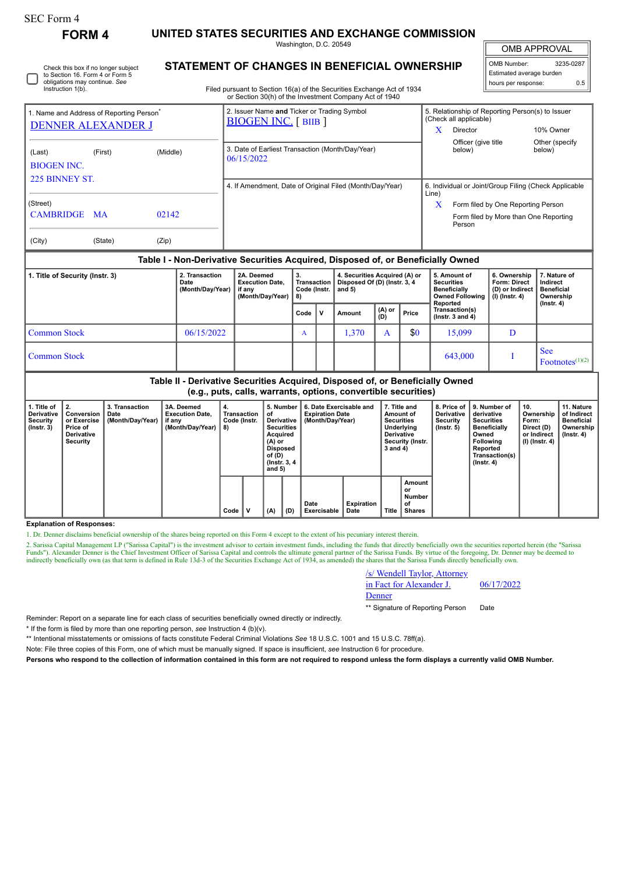## SEC Form 4

**FORM 4 UNITED STATES SECURITIES AND EXCHANGE COMMISSION**

Washington, D.C. 20549

Filed pursuant to Section 16(a) of the Securities Exchange Act of 1934

**STATEMENT OF CHANGES IN BENEFICIAL OWNERSHIP**

OMB APPROVAL

| OMB Number:              | 3235-0287 |  |  |  |  |  |
|--------------------------|-----------|--|--|--|--|--|
| Estimated average burden |           |  |  |  |  |  |
| hours per response:      | 0.5       |  |  |  |  |  |

|                                                      |           |          | or Section 30(h) of the Investment Company Act of 1940                    |                                                                            |                                                 |                           |  |  |
|------------------------------------------------------|-----------|----------|---------------------------------------------------------------------------|----------------------------------------------------------------------------|-------------------------------------------------|---------------------------|--|--|
| 1. Name and Address of Reporting Person <sup>®</sup> |           |          | 2. Issuer Name and Ticker or Trading Symbol<br><b>BIOGEN INC.</b> [BIIB ] | 5. Relationship of Reporting Person(s) to Issuer<br>(Check all applicable) |                                                 |                           |  |  |
| <b>DENNER ALEXANDER J</b>                            |           |          |                                                                           | X                                                                          | Director                                        | 10% Owner                 |  |  |
| (Last)<br><b>BIOGEN INC.</b>                         | (First)   | (Middle) | 3. Date of Earliest Transaction (Month/Day/Year)<br>06/15/2022            |                                                                            | Officer (give title<br>below)                   | Other (specify)<br>below) |  |  |
| 225 BINNEY ST                                        |           |          | 4. If Amendment, Date of Original Filed (Month/Day/Year)                  | 6. Individual or Joint/Group Filing (Check Applicable<br>Line)             |                                                 |                           |  |  |
| (Street)                                             |           |          |                                                                           | X                                                                          | Form filed by One Reporting Person              |                           |  |  |
| <b>CAMBRIDGE</b>                                     | <b>MA</b> | 02142    |                                                                           |                                                                            | Form filed by More than One Reporting<br>Person |                           |  |  |
| (City)                                               | (State)   | (Zip)    |                                                                           |                                                                            |                                                 |                           |  |  |

## **Table I - Non-Derivative Securities Acquired, Disposed of, or Beneficially Owned**

| 1. Title of Security (Instr. 3) | 2. Transaction<br>Date<br>(Month/Day/Year) | 2A. Deemed<br><b>Execution Date.</b><br>if any<br>(Month/Day/Year) | <b>Transaction</b><br>Code (Instr.<br>8)                                                                         |  | 4. Securities Acquired (A) or<br>Disposed Of (D) (Instr. 3, 4<br>  and 5) |            |     | 5. Amount of<br><b>Securities</b><br>Beneficially<br>Owned Following | 6. Ownership<br><b>Form: Direct</b><br>(D) or Indirect<br>(I) (Instr. 4) | 7. Nature of<br>Indirect<br>Beneficial<br>Ownership |
|---------------------------------|--------------------------------------------|--------------------------------------------------------------------|------------------------------------------------------------------------------------------------------------------|--|---------------------------------------------------------------------------|------------|-----|----------------------------------------------------------------------|--------------------------------------------------------------------------|-----------------------------------------------------|
|                                 |                                            |                                                                    | Reported<br>$(A)$ or<br>Transaction(s)<br>Price<br>$\mathbf{v}$<br>Code<br>Amount<br>(D)<br>( $lnstr. 3 and 4$ ) |  |                                                                           | (Instr. 4) |     |                                                                      |                                                                          |                                                     |
| <b>Common Stock</b>             | 06/15/2022                                 |                                                                    | A                                                                                                                |  | 1,370                                                                     |            | \$0 | 15,099                                                               |                                                                          |                                                     |
| <b>Common Stock</b>             |                                            |                                                                    |                                                                                                                  |  |                                                                           |            |     | 643,000                                                              |                                                                          | <b>See</b><br>$\Gamma$ Footnotes <sup>(1)(2)</sup>  |

**Table II - Derivative Securities Acquired, Disposed of, or Beneficially Owned (e.g., puts, calls, warrants, options, convertible securities)**

| 1. Title of<br>Derivative<br>Security<br>$($ lnstr. 3 $)$ | Conversion<br>or Exercise<br><b>Price of</b><br>Derivative<br>Security | 3. Transaction<br>Date<br>(Month/Day/Year) | 3A. Deemed<br><b>Execution Date.</b><br>if any<br>(Month/Day/Year) | 4.<br>Transaction<br>Code (Instr.<br>8) | οf  | 5. Number<br>6. Date Exercisable and<br><b>Expiration Date</b><br>(Month/Day/Year)<br>Derivative<br><b>Securities</b><br>Acquired<br>$(A)$ or<br>Disposed<br>of (D)<br>(Instr. 3, 4)<br>and $5)$ |                     |                           | 7. Title and<br>Amount of<br><b>Securities</b><br>Underlying<br><b>Derivative</b><br>Security (Instr.<br>3 and 4) |                                               | <b>Derivative</b><br>Security<br>$($ lnstr. 5 $)$ | 8. Price of 19. Number of<br>derivative<br><b>Securities</b><br><b>Beneficially</b><br>Owned<br>Following<br>Reported<br>Transaction(s)<br>$($ lnstr. 4 $)$ | 10.<br>Ownership<br>Form:<br>Direct (D)<br>or Indirect<br>(I) (Instr. 4) | 11. Nature<br>of Indirect<br><b>Beneficial</b><br>Ownership<br>$($ lnstr. 4 $)$ |
|-----------------------------------------------------------|------------------------------------------------------------------------|--------------------------------------------|--------------------------------------------------------------------|-----------------------------------------|-----|--------------------------------------------------------------------------------------------------------------------------------------------------------------------------------------------------|---------------------|---------------------------|-------------------------------------------------------------------------------------------------------------------|-----------------------------------------------|---------------------------------------------------|-------------------------------------------------------------------------------------------------------------------------------------------------------------|--------------------------------------------------------------------------|---------------------------------------------------------------------------------|
|                                                           |                                                                        |                                            |                                                                    | Code                                    | (A) | (D)                                                                                                                                                                                              | Date<br>Exercisable | <b>Expiration</b><br>Date | <b>Title</b>                                                                                                      | Amount<br>or<br>Number<br>of<br><b>Shares</b> |                                                   |                                                                                                                                                             |                                                                          |                                                                                 |

## **Explanation of Responses:**

1. Dr. Denner disclaims beneficial ownership of the shares being reported on this Form 4 except to the extent of his pecuniary interest therein.

2. Sarissa Capital Management LP ("Sarissa Capital") is the investment advisor to certain investment funds, including the funds that directly beneficially own the securities reported herein (the "Sarissa Funds"). Alexander Denner is the Chief Investment Officer of Sarissa Capital and controls the ultimate general partner of the Sarissa Funds. By virtue of the foregoing, Dr. Denner may be deemed to indirectly beneficially o

| /s/ Wendell Taylor, Attorney |            |
|------------------------------|------------|
| in Fact for Alexander J.     | 06/17/2022 |
| Denner                       |            |

\*\* Signature of Reporting Person Date

Reminder: Report on a separate line for each class of securities beneficially owned directly or indirectly.

\* If the form is filed by more than one reporting person, *see* Instruction 4 (b)(v).

\*\* Intentional misstatements or omissions of facts constitute Federal Criminal Violations *See* 18 U.S.C. 1001 and 15 U.S.C. 78ff(a).

Note: File three copies of this Form, one of which must be manually signed. If space is insufficient, *see* Instruction 6 for procedure.

**Persons who respond to the collection of information contained in this form are not required to respond unless the form displays a currently valid OMB Number.**

Check this box if no longer subject to Section 16. Form 4 or Form 5 obligations may continue. *See* Instruction 1(b).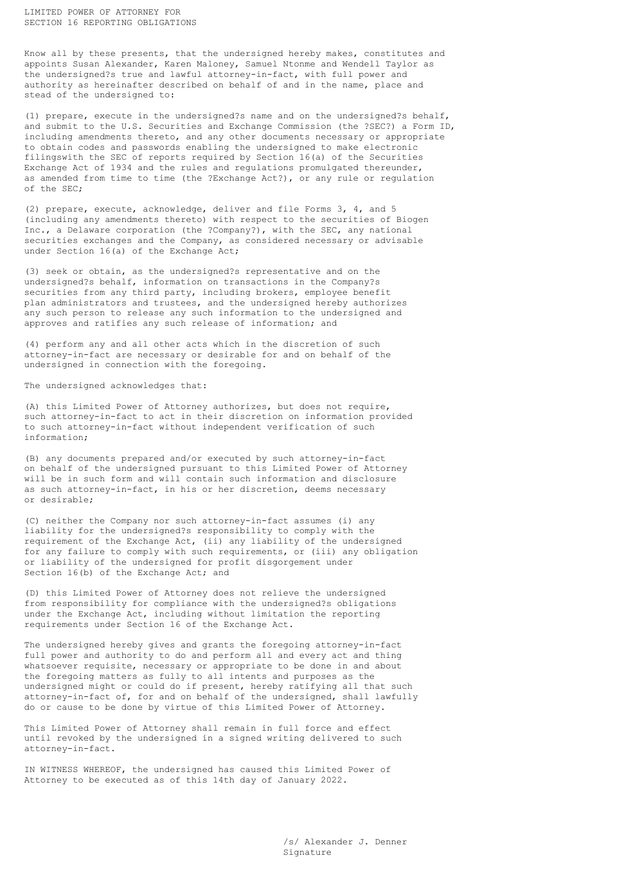Know all by these presents, that the undersigned hereby makes, constitutes and appoints Susan Alexander, Karen Maloney, Samuel Ntonme and Wendell Taylor as the undersigned?s true and lawful attorney-in-fact, with full power and authority as hereinafter described on behalf of and in the name, place and stead of the undersigned to:

(1) prepare, execute in the undersigned?s name and on the undersigned?s behalf, and submit to the U.S. Securities and Exchange Commission (the ?SEC?) a Form ID, including amendments thereto, and any other documents necessary or appropriate to obtain codes and passwords enabling the undersigned to make electronic filingswith the SEC of reports required by Section 16(a) of the Securities Exchange Act of 1934 and the rules and regulations promulgated thereunder, as amended from time to time (the ?Exchange Act?), or any rule or regulation of the SEC;

(2) prepare, execute, acknowledge, deliver and file Forms 3, 4, and 5 (including any amendments thereto) with respect to the securities of Biogen Inc., a Delaware corporation (the ?Company?), with the SEC, any national securities exchanges and the Company, as considered necessary or advisable under Section 16(a) of the Exchange Act;

(3) seek or obtain, as the undersigned?s representative and on the undersigned?s behalf, information on transactions in the Company?s securities from any third party, including brokers, employee benefit plan administrators and trustees, and the undersigned hereby authorizes any such person to release any such information to the undersigned and approves and ratifies any such release of information; and

(4) perform any and all other acts which in the discretion of such attorney-in-fact are necessary or desirable for and on behalf of the undersigned in connection with the foregoing.

The undersigned acknowledges that:

(A) this Limited Power of Attorney authorizes, but does not require, such attorney-in-fact to act in their discretion on information provided to such attorney-in-fact without independent verification of such information;

(B) any documents prepared and/or executed by such attorney-in-fact on behalf of the undersigned pursuant to this Limited Power of Attorney will be in such form and will contain such information and disclosure as such attorney-in-fact, in his or her discretion, deems necessary or desirable;

(C) neither the Company nor such attorney-in-fact assumes (i) any liability for the undersigned?s responsibility to comply with the requirement of the Exchange Act, (ii) any liability of the undersigned for any failure to comply with such requirements, or (iii) any obligation or liability of the undersigned for profit disgorgement under Section 16(b) of the Exchange Act; and

(D) this Limited Power of Attorney does not relieve the undersigned from responsibility for compliance with the undersigned?s obligations under the Exchange Act, including without limitation the reporting requirements under Section 16 of the Exchange Act.

The undersigned hereby gives and grants the foregoing attorney-in-fact full power and authority to do and perform all and every act and thing whatsoever requisite, necessary or appropriate to be done in and about the foregoing matters as fully to all intents and purposes as the undersigned might or could do if present, hereby ratifying all that such attorney-in-fact of, for and on behalf of the undersigned, shall lawfully do or cause to be done by virtue of this Limited Power of Attorney.

This Limited Power of Attorney shall remain in full force and effect until revoked by the undersigned in a signed writing delivered to such attorney-in-fact.

IN WITNESS WHEREOF, the undersigned has caused this Limited Power of Attorney to be executed as of this 14th day of January 2022.